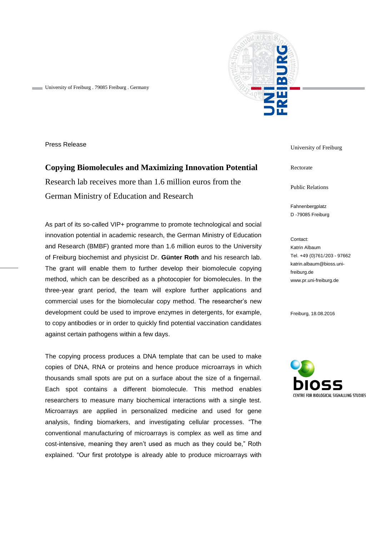

University of Freiburg . 79085 Freiburg . Germany

Press Release

## **Copying Biomolecules and Maximizing Innovation Potential**

Research lab receives more than 1.6 million euros from the German Ministry of Education and Research

As part of its so-called VIP+ programme to promote technological and social innovation potential in academic research, the German Ministry of Education and Research (BMBF) granted more than 1.6 million euros to the University of Freiburg biochemist and physicist Dr. **Günter Roth** and his research lab. The grant will enable them to further develop their biomolecule copying method, which can be described as a photocopier for biomolecules. In the three-year grant period, the team will explore further applications and commercial uses for the biomolecular copy method. The researcher's new development could be used to improve enzymes in detergents, for example, to copy antibodies or in order to quickly find potential vaccination candidates against certain pathogens within a few days.

The copying process produces a DNA template that can be used to make copies of DNA, RNA or proteins and hence produce microarrays in which thousands small spots are put on a surface about the size of a fingernail. Each spot contains a different biomolecule. This method enables researchers to measure many biochemical interactions with a single test. Microarrays are applied in personalized medicine and used for gene analysis, finding biomarkers, and investigating cellular processes. "The conventional manufacturing of microarrays is complex as well as time and cost-intensive, meaning they aren't used as much as they could be," Roth explained. "Our first prototype is already able to produce microarrays with

University of Freiburg

Rectorate

Public Relations

Fahnenbergplatz D -79085 Freiburg

Contact: Katrin Albaum Tel. +49 (0)761/203 - 97662 katrin.albaum@bioss.unifreiburg.de www.pr.uni-freiburg.de

Freiburg, 18.08.2016